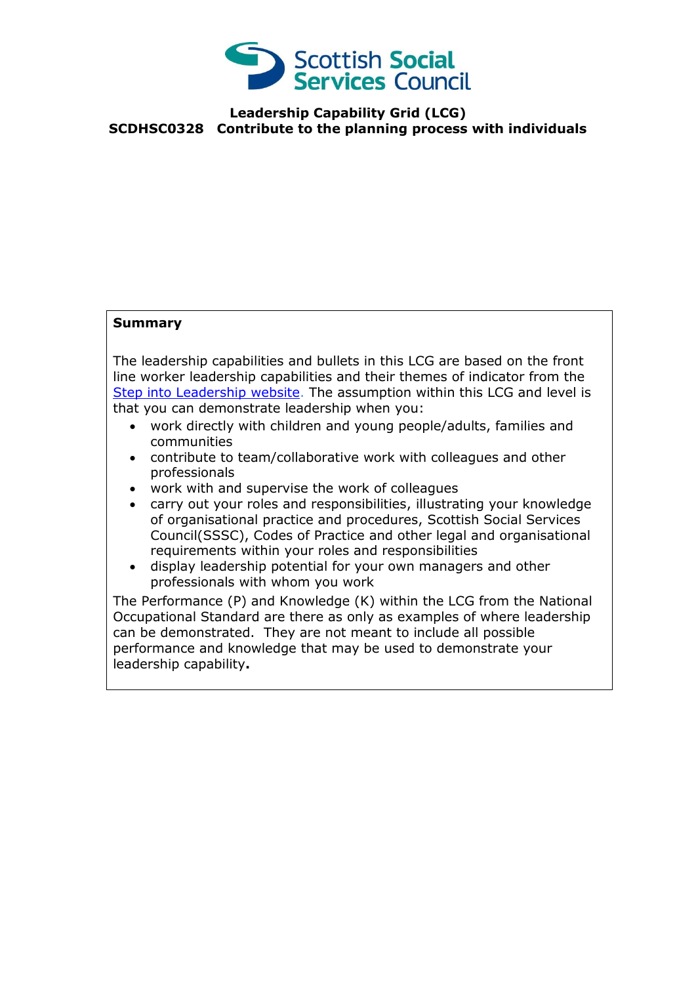

## **Leadership Capability Grid (LCG) SCDHSC0328 Contribute to the planning process with individuals**

## **Summary**

The leadership capabilities and bullets in this LCG are based on the front line worker leadership capabilities and their themes of indicator from the [Step into Leadership website.](http://www.stepintoleadership.info/) The assumption within this LCG and level is that you can demonstrate leadership when you:

- work directly with children and young people/adults, families and communities
- contribute to team/collaborative work with colleagues and other professionals
- work with and supervise the work of colleagues
- carry out your roles and responsibilities, illustrating your knowledge of organisational practice and procedures, Scottish Social Services Council(SSSC), Codes of Practice and other legal and organisational requirements within your roles and responsibilities
- display leadership potential for your own managers and other professionals with whom you work

The Performance (P) and Knowledge (K) within the LCG from the National Occupational Standard are there as only as examples of where leadership can be demonstrated. They are not meant to include all possible performance and knowledge that may be used to demonstrate your leadership capability**.**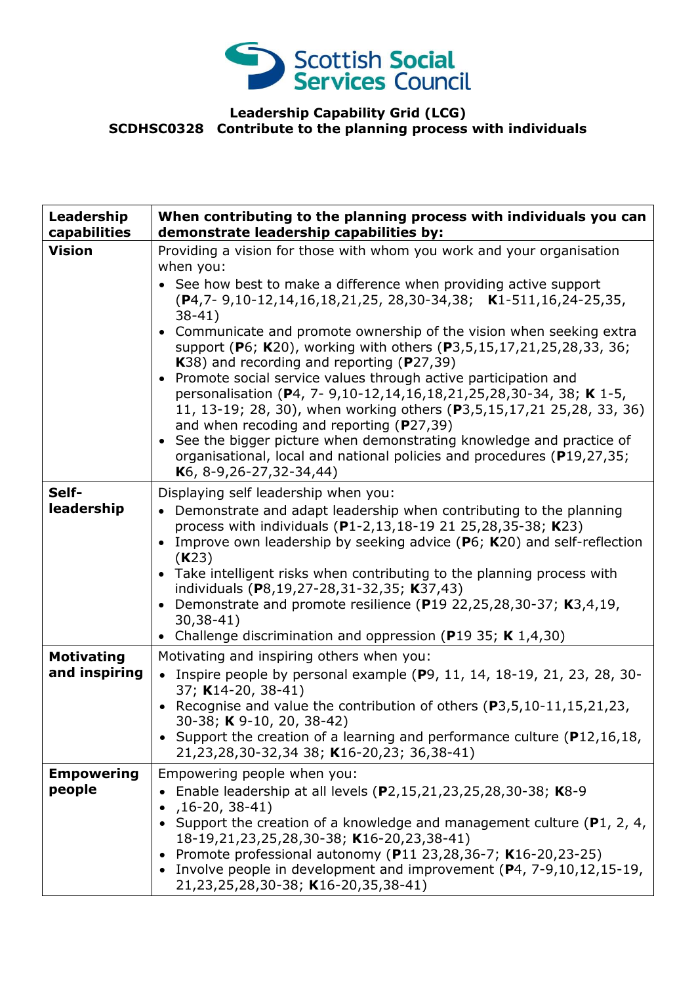

## **Leadership Capability Grid (LCG) SCDHSC0328 Contribute to the planning process with individuals**

| Leadership<br>capabilities         | When contributing to the planning process with individuals you can<br>demonstrate leadership capabilities by:                                                                                                                                                                                                                                                                                                                                                                                                                                                                                                                                                                                                                                                                                                                                                                                                         |
|------------------------------------|-----------------------------------------------------------------------------------------------------------------------------------------------------------------------------------------------------------------------------------------------------------------------------------------------------------------------------------------------------------------------------------------------------------------------------------------------------------------------------------------------------------------------------------------------------------------------------------------------------------------------------------------------------------------------------------------------------------------------------------------------------------------------------------------------------------------------------------------------------------------------------------------------------------------------|
| <b>Vision</b>                      | Providing a vision for those with whom you work and your organisation<br>when you:<br>See how best to make a difference when providing active support<br>(P4,7-9,10-12,14,16,18,21,25, 28,30-34,38; K1-511,16,24-25,35,<br>$38-41)$<br>Communicate and promote ownership of the vision when seeking extra<br>support (P6; K20), working with others (P3,5,15,17,21,25,28,33, 36;<br>K38) and recording and reporting (P27,39)<br>Promote social service values through active participation and<br>$\bullet$<br>personalisation (P4, 7- 9,10-12,14,16,18,21,25,28,30-34, 38; K 1-5,<br>11, 13-19; 28, 30), when working others (P3,5,15,17,21 25,28, 33, 36)<br>and when recoding and reporting ( $P$ 27,39)<br>See the bigger picture when demonstrating knowledge and practice of<br>$\bullet$<br>organisational, local and national policies and procedures (P19,27,35;<br>K <sub>6</sub> , 8-9, 26-27, 32-34, 44) |
| Self-<br>leadership                | Displaying self leadership when you:<br>• Demonstrate and adapt leadership when contributing to the planning<br>process with individuals (P1-2,13,18-19 21 25,28,35-38; K23)<br>Improve own leadership by seeking advice ( $P_6$ ; $K_{20}$ ) and self-reflection<br>(K23)<br>• Take intelligent risks when contributing to the planning process with<br>individuals (P8,19,27-28,31-32,35; K37,43)<br>Demonstrate and promote resilience (P19 22, 25, 28, 30-37; K3, 4, 19,<br>$30,38-41)$<br>Challenge discrimination and oppression (P19 35; K $1,4,30$ )<br>$\bullet$                                                                                                                                                                                                                                                                                                                                             |
| <b>Motivating</b><br>and inspiring | Motivating and inspiring others when you:<br>• Inspire people by personal example $(P9, 11, 14, 18-19, 21, 23, 28, 30-$<br>37; K14-20, 38-41)<br>• Recognise and value the contribution of others (P3,5,10-11,15,21,23,<br>30-38; K 9-10, 20, 38-42)<br>• Support the creation of a learning and performance culture $(P12, 16, 18, 18)$<br>21, 23, 28, 30-32, 34 38; K16-20, 23; 36, 38-41)                                                                                                                                                                                                                                                                                                                                                                                                                                                                                                                          |
| <b>Empowering</b><br>people        | Empowering people when you:<br>• Enable leadership at all levels $(P2, 15, 21, 23, 25, 28, 30 - 38; K8 - 9)$<br>$,16-20,38-41)$<br>Support the creation of a knowledge and management culture (P1, 2, 4,<br>18-19, 21, 23, 25, 28, 30-38; K16-20, 23, 38-41)<br>• Promote professional autonomy (P11 23, 28, 36-7; K16-20, 23-25)<br>• Involve people in development and improvement (P4, 7-9,10,12,15-19,<br>21,23,25,28,30-38; K16-20,35,38-41)                                                                                                                                                                                                                                                                                                                                                                                                                                                                     |